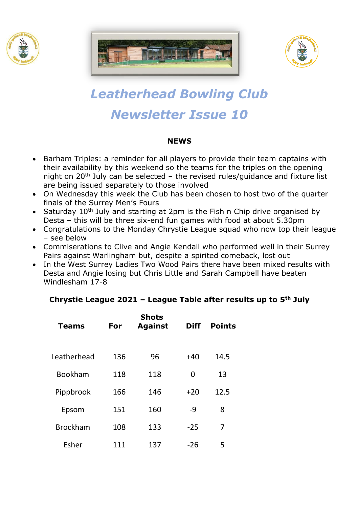





# *Leatherhead Bowling Club Newsletter Issue 10*

### **NEWS**

- Barham Triples: a reminder for all players to provide their team captains with their availability by this weekend so the teams for the triples on the opening night on  $20<sup>th</sup>$  July can be selected – the revised rules/guidance and fixture list are being issued separately to those involved
- On Wednesday this week the Club has been chosen to host two of the quarter finals of the Surrey Men's Fours
- Saturday 10<sup>th</sup> July and starting at 2pm is the Fish n Chip drive organised by Desta – this will be three six-end fun games with food at about 5.30pm
- Congratulations to the Monday Chrystie League squad who now top their league – see below
- Commiserations to Clive and Angie Kendall who performed well in their Surrey Pairs against Warlingham but, despite a spirited comeback, lost out
- In the West Surrey Ladies Two Wood Pairs there have been mixed results with Desta and Angie losing but Chris Little and Sarah Campbell have beaten Windlesham 17-8

## **Chrystie League 2021 – League Table after results up to 5th July**

| <b>Teams</b>    | For | <b>Shots</b><br><b>Against</b> | <b>Diff</b> | <b>Points</b> |
|-----------------|-----|--------------------------------|-------------|---------------|
| Leatherhead     | 136 | 96                             | $+40$       | 14.5          |
| <b>Bookham</b>  | 118 | 118                            | 0           | 13            |
| Pippbrook       | 166 | 146                            | $+20$       | 12.5          |
| Epsom           | 151 | 160                            | -9          | 8             |
| <b>Brockham</b> | 108 | 133                            | $-25$       | 7             |
| Esher           | 111 | 137                            | $-26$       | 5             |